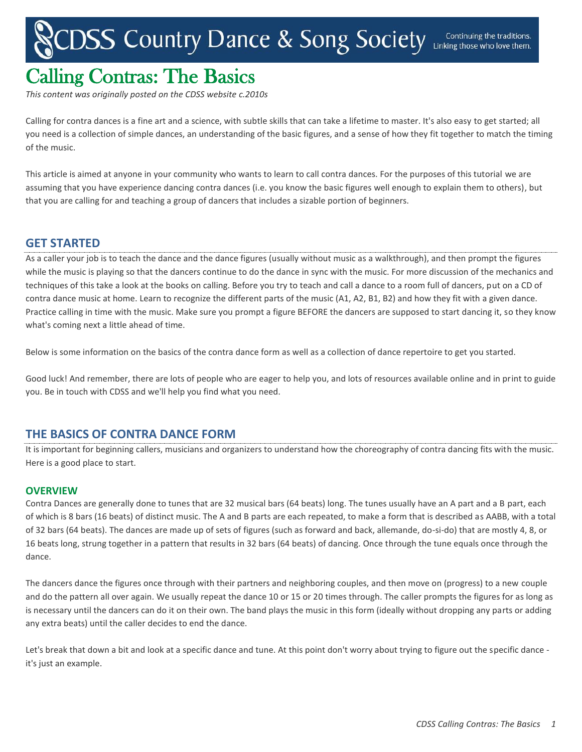# CDSS Country Dance & Song Society Linking those who love them.

# Calling Contras: The Basics

*This content was originally posted on the CDSS website c.2010s*

Calling for contra dances is a fine art and a science, with subtle skills that can take a lifetime to master. It's also easy to get started; all you need is a collection of simple dances, an understanding of the basic figures, and a sense of how they fit together to match the timing of the music.

This article is aimed at anyone in your community who wants to learn to call contra dances. For the purposes of this tutorial we are assuming that you have experience dancing contra dances (i.e. you know the basic figures well enough to explain them to others), but that you are calling for and teaching a group of dancers that includes a sizable portion of beginners.

# **GET STARTED**

As a caller your job is to teach the dance and the dance figures (usually without music as a walkthrough), and then prompt the figures while the music is playing so that the dancers continue to do the dance in sync with the music. For more discussion of the mechanics and techniques of this take a look at the books on calling. Before you try to teach and call a dance to a room full of dancers, put on a CD of contra dance music at home. Learn to recognize the different parts of the music (A1, A2, B1, B2) and how they fit with a given dance. Practice calling in time with the music. Make sure you prompt a figure BEFORE the dancers are supposed to start dancing it, so they know what's coming next a little ahead of time.

Below is some information on the basics of the contra dance form as well as a collection of dance repertoire to get you started.

Good luck! And remember, there are lots of people who are eager to help you, and lots of resources available online and in print to guide you. Be in touch with CDSS and we'll help you find what you need.

# **THE BASICS OF CONTRA DANCE FORM**

It is important for beginning callers, musicians and organizers to understand how the choreography of contra dancing fits with the music. Here is a good place to start.

# **OVERVIEW**

Contra Dances are generally done to tunes that are 32 musical bars (64 beats) long. The tunes usually have an A part and a B part, each of which is 8 bars (16 beats) of distinct music. The A and B parts are each repeated, to make a form that is described as AABB, with a total of 32 bars (64 beats). The dances are made up of sets of figures (such as forward and back, allemande, do-si-do) that are mostly 4, 8, or 16 beats long, strung together in a pattern that results in 32 bars (64 beats) of dancing. Once through the tune equals once through the dance.

The dancers dance the figures once through with their partners and neighboring couples, and then move on (progress) to a new couple and do the pattern all over again. We usually repeat the dance 10 or 15 or 20 times through. The caller prompts the figures for as long as is necessary until the dancers can do it on their own. The band plays the music in this form (ideally without dropping any parts or adding any extra beats) until the caller decides to end the dance.

Let's break that down a bit and look at a specific dance and tune. At this point don't worry about trying to figure out the specific dance it's just an example.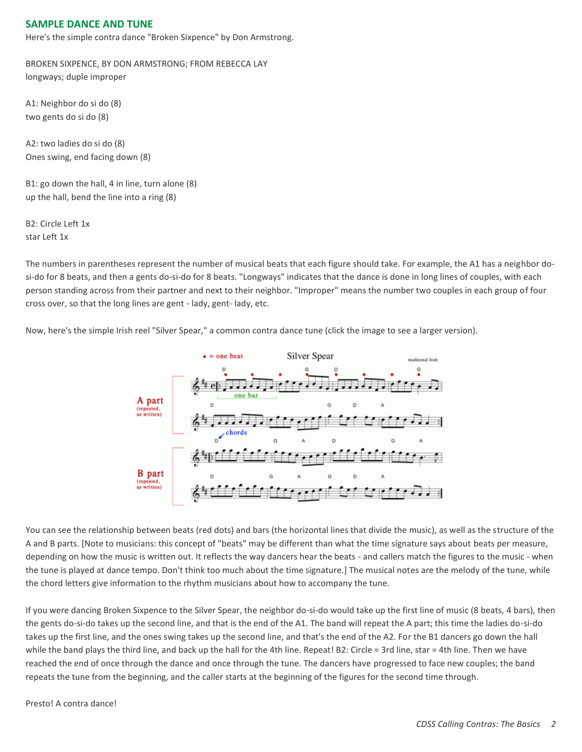# **SAMPLE DANCE AND TUNE**

Here's the simple contra dance "Broken Sixpence" by Don Armstrong.

BROKEN SIXPENCE, BY DON ARMSTRONG; FROM REBECCA LAY longways; duple improper

A1: Neighbor do si do (8) two gents do si do (8)

A2: two ladies do si do (8) Ones swing, end facing down (8)

B1: go down the hall, 4 in line, turn alone (8) up the hall, bend the line into a ring (8)

B2: Circle Left 1x star Left 1x

The numbers in parentheses represent the number of musical beats that each figure should take. For example, the A1 has a neighbor dosi-do for 8 beats, and then a gents do-si-do for 8 beats. "Longways" indicates that the dance is done in long lines of couples, with each person standing across from their partner and next to their neighbor. "Improper" means the number two couples in each group of four cross over, so that the long lines are gent - lady, gent- lady, etc.

Now, here's the simple Irish reel "Silver Spear," a common contra dance tune (click the image to see a larger version).



You can see the relationship between beats (red dots) and bars (the horizontal lines that divide the music), as well as the structure of the A and B parts. [Note to musicians: this concept of "beats" may be different than what the time signature says about beats per measure, depending on how the music is written out. It reflects the way dancers hear the beats - and callers match the figures to the music - when the tune is played at dance tempo. Don't think too much about the time signature.] The musical notes are the melody of the tune, while the chord letters give information to the rhythm musicians about how to accompany the tune.

If you were dancing Broken Sixpence to the Silver Spear, the neighbor do-si-do would take up the first line of music (8 beats, 4 bars), then the gents do-si-do takes up the second line, and that is the end of the A1. The band will repeat the A part; this time the ladies do-si-do takes up the first line, and the ones swing takes up the second line, and that's the end of the A2. For the B1 dancers go down the hall while the band plays the third line, and back up the hall for the 4th line. Repeat! B2: Circle = 3rd line, star = 4th line. Then we have reached the end of once through the dance and once through the tune. The dancers have progressed to face new couples; the band repeats the tune from the beginning, and the caller starts at the beginning of the figures for the second time through.

Presto! A contra dance!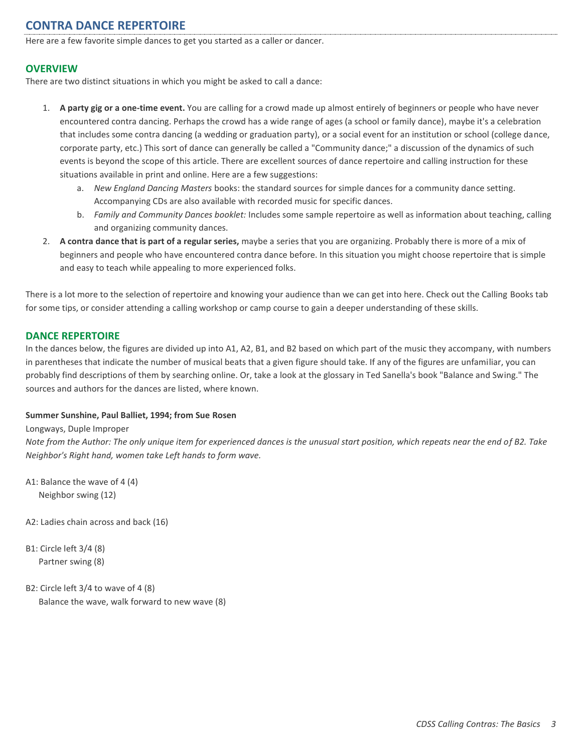# **CONTRA DANCE REPERTOIRE**

Here are a few favorite simple dances to get you started as a caller or dancer.

# **OVERVIEW**

There are two distinct situations in which you might be asked to call a dance:

- 1. **A party gig or a one-time event.** You are calling for a crowd made up almost entirely of beginners or people who have never encountered contra dancing. Perhaps the crowd has a wide range of ages (a school or family dance), maybe it's a celebration that includes some contra dancing (a wedding or graduation party), or a social event for an institution or school (college dance, corporate party, etc.) This sort of dance can generally be called a "Community dance;" a discussion of the dynamics of such events is beyond the scope of this article. There are excellent sources of dance repertoire and calling instruction for these situations available in print and online. Here are a few suggestions:
	- a. *New England Dancing Masters* books: the standard sources for simple dances for a community dance setting. Accompanying CDs are also available with recorded music for specific dances.
	- b. *Family and Community Dances booklet:* Includes some sample repertoire as well as information about teaching, calling and organizing community dances.
- 2. **A contra dance that is part of a regular series,** maybe a series that you are organizing. Probably there is more of a mix of beginners and people who have encountered contra dance before. In this situation you might choose repertoire that is simple and easy to teach while appealing to more experienced folks.

There is a lot more to the selection of repertoire and knowing your audience than we can get into here. Check out the Calling Books tab for some tips, or consider attending a calling workshop or camp course to gain a deeper understanding of these skills.

# **DANCE REPERTOIRE**

In the dances below, the figures are divided up into A1, A2, B1, and B2 based on which part of the music they accompany, with numbers in parentheses that indicate the number of musical beats that a given figure should take. If any of the figures are unfamiliar, you can probably find descriptions of them by searching online. Or, take a look at the glossary in Ted Sanella's book "Balance and Swing." The sources and authors for the dances are listed, where known.

#### **Summer Sunshine, Paul Balliet, 1994; from Sue Rosen**

Longways, Duple Improper

*Note from the Author: The only unique item for experienced dances is the unusual start position, which repeats near the end of B2. Take Neighbor's Right hand, women take Left hands to form wave.*

A1: Balance the wave of 4 (4) Neighbor swing (12)

A2: Ladies chain across and back (16)

B1: Circle left 3/4 (8) Partner swing (8)

B2: Circle left 3/4 to wave of 4 (8) Balance the wave, walk forward to new wave (8)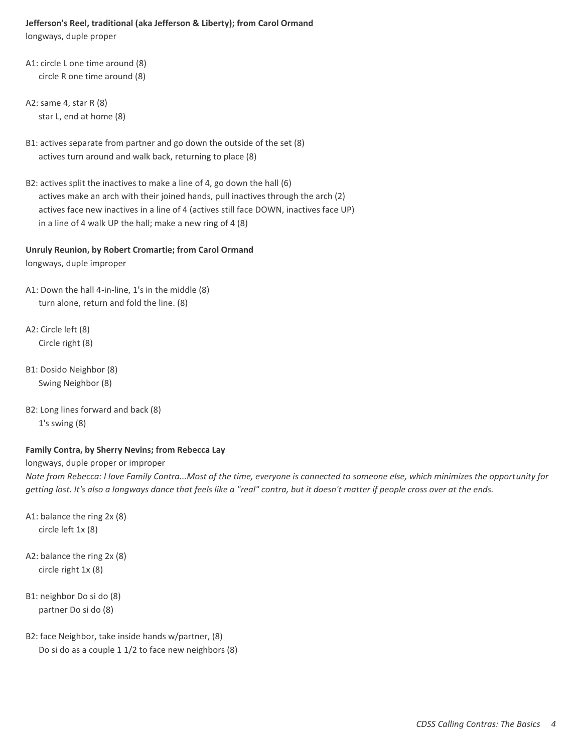# **Jefferson's Reel, traditional (aka Jefferson & Liberty); from Carol Ormand**

longways, duple proper

- A1: circle L one time around (8) circle R one time around (8)
- A2: same 4, star R (8) star L, end at home (8)
- B1: actives separate from partner and go down the outside of the set (8) actives turn around and walk back, returning to place (8)
- B2: actives split the inactives to make a line of 4, go down the hall (6) actives make an arch with their joined hands, pull inactives through the arch (2) actives face new inactives in a line of 4 (actives still face DOWN, inactives face UP) in a line of 4 walk UP the hall; make a new ring of 4 (8)

# **Unruly Reunion, by Robert Cromartie; from Carol Ormand**

longways, duple improper

- A1: Down the hall 4-in-line, 1's in the middle (8) turn alone, return and fold the line. (8)
- A2: Circle left (8) Circle right (8)
- B1: Dosido Neighbor (8) Swing Neighbor (8)
- B2: Long lines forward and back (8) 1's swing (8)

# **Family Contra, by Sherry Nevins; from Rebecca Lay**

longways, duple proper or improper

*Note from Rebecca: I love Family Contra...Most of the time, everyone is connected to someone else, which minimizes the opportunity for getting lost. It's also a longways dance that feels like a "real" contra, but it doesn't matter if people cross over at the ends.*

- A1: balance the ring 2x (8) circle left 1x (8)
- A2: balance the ring 2x (8) circle right 1x (8)
- B1: neighbor Do si do (8) partner Do si do (8)
- B2: face Neighbor, take inside hands w/partner, (8) Do si do as a couple 1 1/2 to face new neighbors (8)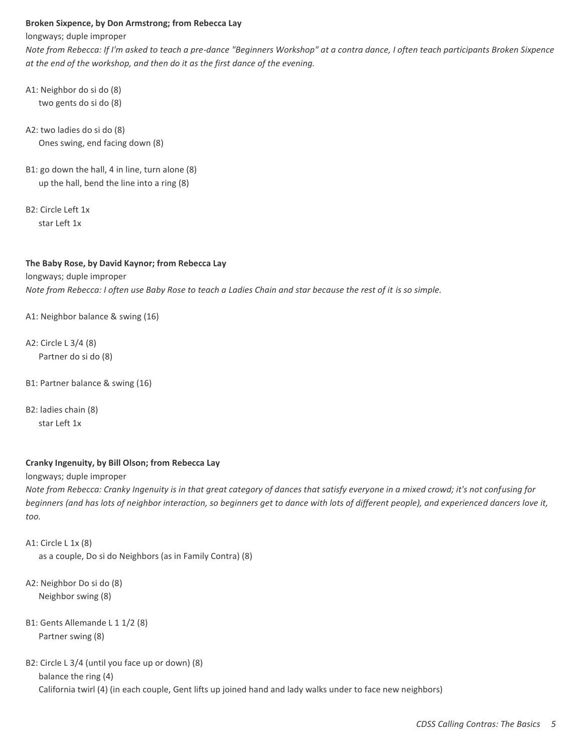#### **Broken Sixpence, by Don Armstrong; from Rebecca Lay**

longways; duple improper

*Note from Rebecca: If I'm asked to teach a pre-dance "Beginners Workshop" at a contra dance, I often teach participants Broken Sixpence at the end of the workshop, and then do it as the first dance of the evening.*

- A1: Neighbor do si do (8) two gents do si do (8)
- A2: two ladies do si do (8) Ones swing, end facing down (8)
- B1: go down the hall, 4 in line, turn alone (8) up the hall, bend the line into a ring (8)
- B2: Circle Left 1x star Left 1x

#### **The Baby Rose, by David Kaynor; from Rebecca Lay**

longways; duple improper *Note from Rebecca: I often use Baby Rose to teach a Ladies Chain and star because the rest of it is so simple.*

A1: Neighbor balance & swing (16)

A2: Circle L 3/4 (8) Partner do si do (8)

- B1: Partner balance & swing (16)
- B2: ladies chain (8) star Left 1x

#### **Cranky Ingenuity, by Bill Olson; from Rebecca Lay**

longways; duple improper

*Note from Rebecca: Cranky Ingenuity is in that great category of dances that satisfy everyone in a mixed crowd; it's not confusing for beginners (and has lots of neighbor interaction, so beginners get to dance with lots of different people), and experienced dancers love it, too.*

```
A1: Circle L 1x (8)
as a couple, Do si do Neighbors (as in Family Contra) (8)
```
- A2: Neighbor Do si do (8) Neighbor swing (8)
- B1: Gents Allemande L 1 1/2 (8) Partner swing (8)

```
B2: Circle L 3/4 (until you face up or down) (8)
balance the ring (4)
California twirl (4) (in each couple, Gent lifts up joined hand and lady walks under to face new neighbors)
```